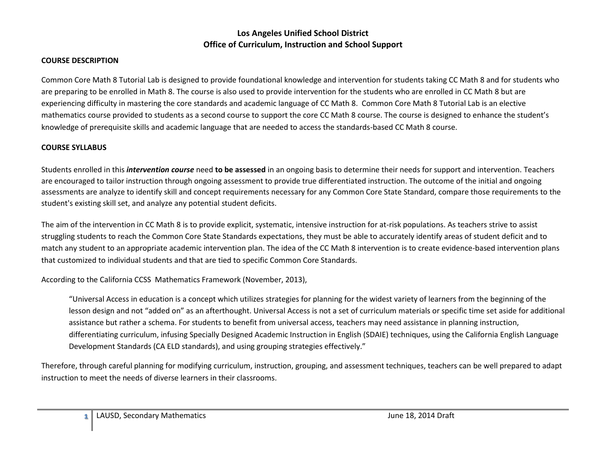#### **COURSE DESCRIPTION**

Common Core Math 8 Tutorial Lab is designed to provide foundational knowledge and intervention for students taking CC Math 8 and for students who are preparing to be enrolled in Math 8. The course is also used to provide intervention for the students who are enrolled in CC Math 8 but are experiencing difficulty in mastering the core standards and academic language of CC Math 8. Common Core Math 8 Tutorial Lab is an elective mathematics course provided to students as a second course to support the core CC Math 8 course. The course is designed to enhance the student's knowledge of prerequisite skills and academic language that are needed to access the standards-based CC Math 8 course.

#### **COURSE SYLLABUS**

Students enrolled in this *intervention course* need **to be assessed** in an ongoing basis to determine their needs for support and intervention. Teachers are encouraged to tailor instruction through ongoing assessment to provide true differentiated instruction. The outcome of the initial and ongoing assessments are analyze to identify skill and concept requirements necessary for any Common Core State Standard, compare those requirements to the student's existing skill set, and analyze any potential student deficits.

The aim of the intervention in CC Math 8 is to provide explicit, systematic, intensive instruction for at-risk populations. As teachers strive to assist struggling students to reach the Common Core State Standards expectations, they must be able to accurately identify areas of student deficit and to match any student to an appropriate academic intervention plan. The idea of the CC Math 8 intervention is to create evidence-based intervention plans that customized to individual students and that are tied to specific Common Core Standards.

According to the California CCSS Mathematics Framework (November, 2013),

"Universal Access in education is a concept which utilizes strategies for planning for the widest variety of learners from the beginning of the lesson design and not "added on" as an afterthought. Universal Access is not a set of curriculum materials or specific time set aside for additional assistance but rather a schema. For students to benefit from universal access, teachers may need assistance in planning instruction, differentiating curriculum, infusing Specially Designed Academic Instruction in English (SDAIE) techniques, using the California English Language Development Standards (CA ELD standards), and using grouping strategies effectively."

Therefore, through careful planning for modifying curriculum, instruction, grouping, and assessment techniques, teachers can be well prepared to adapt instruction to meet the needs of diverse learners in their classrooms.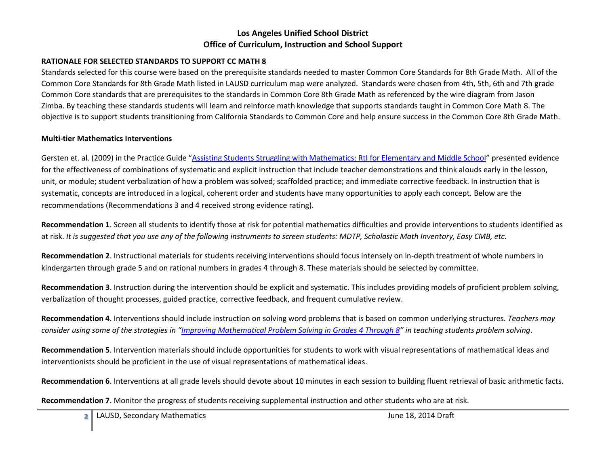#### **RATIONALE FOR SELECTED STANDARDS TO SUPPORT CC MATH 8**

Standards selected for this course were based on the prerequisite standards needed to master Common Core Standards for 8th Grade Math. All of the Common Core Standards for 8th Grade Math listed in LAUSD curriculum map were analyzed. Standards were chosen from 4th, 5th, 6th and 7th grade Common Core standards that are prerequisites to the standards in Common Core 8th Grade Math as referenced by the wire diagram from Jason Zimba. By teaching these standards students will learn and reinforce math knowledge that supports standards taught in Common Core Math 8. The objective is to support students transitioning from California Standards to Common Core and help ensure success in the Common Core 8th Grade Math.

#### **Multi-tier Mathematics Interventions**

Gersten et. al. (2009) in the Practice Guide "[Assisting Students Struggling with Mathematics: RtI for Elementary and Middle School](http://ies.ed.gov/ncee/wwc/pdf/practice_guides/rti_math_pg_042109.pdf)" presented evidence for the effectiveness of combinations of systematic and explicit instruction that include teacher demonstrations and think alouds early in the lesson, unit, or module; student verbalization of how a problem was solved; scaffolded practice; and immediate corrective feedback. In instruction that is systematic, concepts are introduced in a logical, coherent order and students have many opportunities to apply each concept. Below are the recommendations (Recommendations 3 and 4 received strong evidence rating).

**Recommendation 1**. Screen all students to identify those at risk for potential mathematics difficulties and provide interventions to students identified as at risk. *It is suggested that you use any of the following instruments to screen students: MDTP, Scholastic Math Inventory, Easy CMB, etc.*

**Recommendation 2**. Instructional materials for students receiving interventions should focus intensely on in-depth treatment of whole numbers in kindergarten through grade 5 and on rational numbers in grades 4 through 8. These materials should be selected by committee.

**Recommendation 3**. Instruction during the intervention should be explicit and systematic. This includes providing models of proficient problem solving, verbalization of thought processes, guided practice, corrective feedback, and frequent cumulative review.

**Recommendation 4**. Interventions should include instruction on solving word problems that is based on common underlying structures. *Teachers may consider using some of the strategies in "[Improving Mathematical Problem Solving in Grades 4 Through 8](http://ies.ed.gov/ncee/wwc/pdf/practice_guides/mps_pg_052212.pdf)" in teaching students problem solving*.

**Recommendation 5**. Intervention materials should include opportunities for students to work with visual representations of mathematical ideas and interventionists should be proficient in the use of visual representations of mathematical ideas.

**Recommendation 6**. Interventions at all grade levels should devote about 10 minutes in each session to building fluent retrieval of basic arithmetic facts.

**Recommendation 7**. Monitor the progress of students receiving supplemental instruction and other students who are at risk.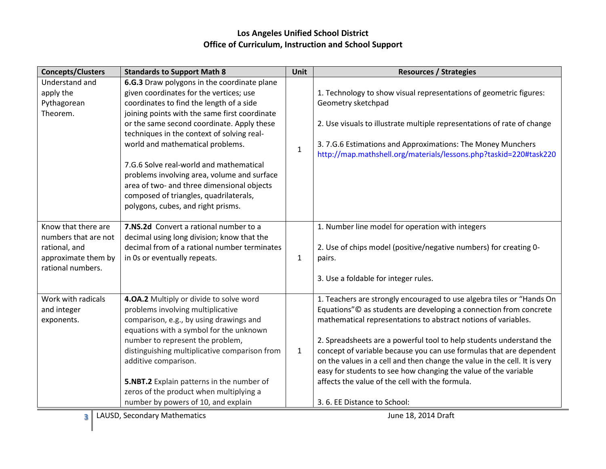| <b>Concepts/Clusters</b>                                                                                 | <b>Standards to Support Math 8</b>                                                                                                                                                                                                                                                                                                                                                                                                                                                                                                          | Unit         | <b>Resources / Strategies</b>                                                                                                                                                                                                                                                                                                                                                                                                                                                                                                                                                                |
|----------------------------------------------------------------------------------------------------------|---------------------------------------------------------------------------------------------------------------------------------------------------------------------------------------------------------------------------------------------------------------------------------------------------------------------------------------------------------------------------------------------------------------------------------------------------------------------------------------------------------------------------------------------|--------------|----------------------------------------------------------------------------------------------------------------------------------------------------------------------------------------------------------------------------------------------------------------------------------------------------------------------------------------------------------------------------------------------------------------------------------------------------------------------------------------------------------------------------------------------------------------------------------------------|
| Understand and<br>apply the<br>Pythagorean<br>Theorem.                                                   | 6.G.3 Draw polygons in the coordinate plane<br>given coordinates for the vertices; use<br>coordinates to find the length of a side<br>joining points with the same first coordinate<br>or the same second coordinate. Apply these<br>techniques in the context of solving real-<br>world and mathematical problems.<br>7.G.6 Solve real-world and mathematical<br>problems involving area, volume and surface<br>area of two- and three dimensional objects<br>composed of triangles, quadrilaterals,<br>polygons, cubes, and right prisms. | $\mathbf{1}$ | 1. Technology to show visual representations of geometric figures:<br>Geometry sketchpad<br>2. Use visuals to illustrate multiple representations of rate of change<br>3.7.G.6 Estimations and Approximations: The Money Munchers<br>http://map.mathshell.org/materials/lessons.php?taskid=220#task220                                                                                                                                                                                                                                                                                       |
| Know that there are<br>numbers that are not<br>rational, and<br>approximate them by<br>rational numbers. | 7.NS.2d Convert a rational number to a<br>decimal using long division; know that the<br>decimal from of a rational number terminates<br>in 0s or eventually repeats.                                                                                                                                                                                                                                                                                                                                                                        | $\mathbf{1}$ | 1. Number line model for operation with integers<br>2. Use of chips model (positive/negative numbers) for creating 0-<br>pairs.<br>3. Use a foldable for integer rules.                                                                                                                                                                                                                                                                                                                                                                                                                      |
| Work with radicals<br>and integer<br>exponents.                                                          | 4.0A.2 Multiply or divide to solve word<br>problems involving multiplicative<br>comparison, e.g., by using drawings and<br>equations with a symbol for the unknown<br>number to represent the problem,<br>distinguishing multiplicative comparison from<br>additive comparison.<br>5.NBT.2 Explain patterns in the number of<br>zeros of the product when multiplying a<br>number by powers of 10, and explain                                                                                                                              | $\mathbf{1}$ | 1. Teachers are strongly encouraged to use algebra tiles or "Hands On<br>Equations"© as students are developing a connection from concrete<br>mathematical representations to abstract notions of variables.<br>2. Spreadsheets are a powerful tool to help students understand the<br>concept of variable because you can use formulas that are dependent<br>on the values in a cell and then change the value in the cell. It is very<br>easy for students to see how changing the value of the variable<br>affects the value of the cell with the formula.<br>3.6. EE Distance to School: |
| LAUSD, Secondary Mathematics<br>June 18, 2014 Draft<br>3                                                 |                                                                                                                                                                                                                                                                                                                                                                                                                                                                                                                                             |              |                                                                                                                                                                                                                                                                                                                                                                                                                                                                                                                                                                                              |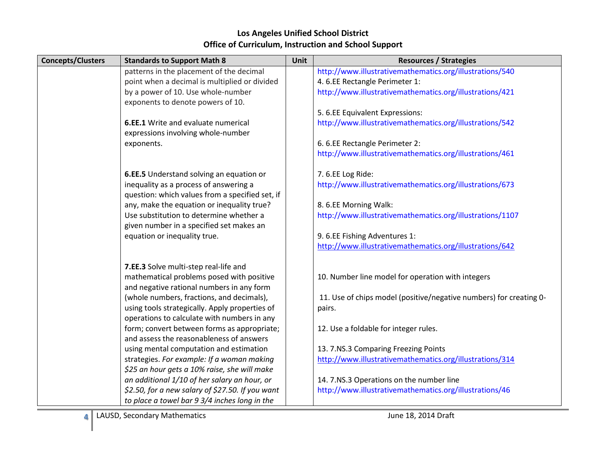#### **Concepts/Clusters Standards to Support Math 8 Unit Resources / Strategies** patterns in the placement of the decimal point when a decimal is multiplied or divided by a power of 10. Use whole-number exponents to denote powers of 10. **6.EE.1** Write and evaluate numerical expressions involving whole-number exponents. **6.EE.5** Understand solving an equation or inequality as a process of answering a question: which values from a specified set, if any, make the equation or inequality true? Use substitution to determine whether a given number in a specified set makes an equation or inequality true. **7.EE.3** Solve multi-step real-life and mathematical problems posed with positive and negative rational numbers in any form (whole numbers, fractions, and decimals), using tools strategically. Apply properties of operations to calculate with numbers in any form; convert between forms as appropriate; and assess the reasonableness of answers using mental computation and estimation strategies. *For example: If a woman making \$25 an hour gets a 10% raise, she will make an additional 1/10 of her salary an hour, or \$2.50, for a new salary of \$27.50. If you want to place a towel bar 9 3/4 inches long in the*  http://www.illustrativemathematics.org/illustrations/540 4. 6.EE Rectangle Perimeter 1: http://www.illustrativemathematics.org/illustrations/421 5. 6.EE Equivalent Expressions: http://www.illustrativemathematics.org/illustrations/542 6. 6.EE Rectangle Perimeter 2: http://www.illustrativemathematics.org/illustrations/461 7. 6.EE Log Ride: http://www.illustrativemathematics.org/illustrations/673 8. 6.EE Morning Walk: http://www.illustrativemathematics.org/illustrations/1107 9. 6.EE Fishing Adventures 1: <http://www.illustrativemathematics.org/illustrations/642> 10. Number line model for operation with integers 11. Use of chips model (positive/negative numbers) for creating 0 pairs. 12. Use a foldable for integer rules. 13. 7.NS.3 Comparing Freezing Points <http://www.illustrativemathematics.org/illustrations/314> 14. 7.NS.3 Operations on the number line http://www.illustrativemathematics.org/illustrations/46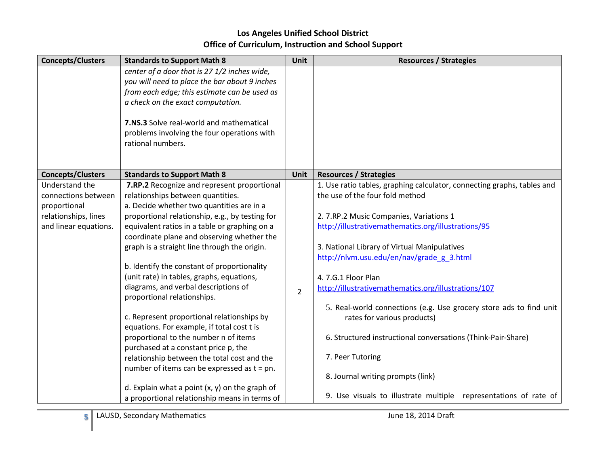| <b>Concepts/Clusters</b> | <b>Standards to Support Math 8</b>               | Unit           | <b>Resources / Strategies</b>                                           |
|--------------------------|--------------------------------------------------|----------------|-------------------------------------------------------------------------|
|                          | center of a door that is 27 1/2 inches wide,     |                |                                                                         |
|                          | you will need to place the bar about 9 inches    |                |                                                                         |
|                          | from each edge; this estimate can be used as     |                |                                                                         |
|                          | a check on the exact computation.                |                |                                                                         |
|                          | 7.NS.3 Solve real-world and mathematical         |                |                                                                         |
|                          | problems involving the four operations with      |                |                                                                         |
|                          | rational numbers.                                |                |                                                                         |
|                          |                                                  |                |                                                                         |
|                          |                                                  |                |                                                                         |
| <b>Concepts/Clusters</b> | <b>Standards to Support Math 8</b>               | Unit           | <b>Resources / Strategies</b>                                           |
| Understand the           | 7.RP.2 Recognize and represent proportional      |                | 1. Use ratio tables, graphing calculator, connecting graphs, tables and |
| connections between      | relationships between quantities.                |                | the use of the four fold method                                         |
| proportional             | a. Decide whether two quantities are in a        |                |                                                                         |
| relationships, lines     | proportional relationship, e.g., by testing for  |                | 2. 7.RP.2 Music Companies, Variations 1                                 |
| and linear equations.    | equivalent ratios in a table or graphing on a    |                | http://illustrativemathematics.org/illustrations/95                     |
|                          | coordinate plane and observing whether the       |                |                                                                         |
|                          | graph is a straight line through the origin.     |                | 3. National Library of Virtual Manipulatives                            |
|                          |                                                  |                | http://nlvm.usu.edu/en/nav/grade_g_3.html                               |
|                          | b. Identify the constant of proportionality      |                |                                                                         |
|                          | (unit rate) in tables, graphs, equations,        |                | 4.7.G.1 Floor Plan                                                      |
|                          | diagrams, and verbal descriptions of             | $\overline{2}$ | http://illustrativemathematics.org/illustrations/107                    |
|                          | proportional relationships.                      |                |                                                                         |
|                          |                                                  |                | 5. Real-world connections (e.g. Use grocery store ads to find unit      |
|                          | c. Represent proportional relationships by       |                | rates for various products)                                             |
|                          | equations. For example, if total cost t is       |                |                                                                         |
|                          | proportional to the number n of items            |                | 6. Structured instructional conversations (Think-Pair-Share)            |
|                          | purchased at a constant price p, the             |                | 7. Peer Tutoring                                                        |
|                          | relationship between the total cost and the      |                |                                                                         |
|                          | number of items can be expressed as $t = pn$ .   |                | 8. Journal writing prompts (link)                                       |
|                          | d. Explain what a point $(x, y)$ on the graph of |                |                                                                         |
|                          | a proportional relationship means in terms of    |                | 9. Use visuals to illustrate multiple representations of rate of        |
|                          |                                                  |                |                                                                         |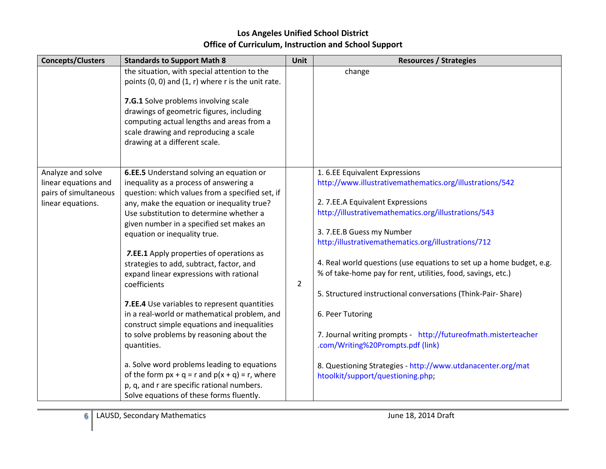| <b>Concepts/Clusters</b>                                                                | <b>Standards to Support Math 8</b>                                                                                                                                                                                                                                                                                                                                                                                                                                                                                                                                                                                                                                                                                                                                                                                                                                      | <b>Unit</b>    | <b>Resources / Strategies</b>                                                                                                                                                                                                                                                                                                                                                                                                                                                                                                                                                                                                                                                                                    |
|-----------------------------------------------------------------------------------------|-------------------------------------------------------------------------------------------------------------------------------------------------------------------------------------------------------------------------------------------------------------------------------------------------------------------------------------------------------------------------------------------------------------------------------------------------------------------------------------------------------------------------------------------------------------------------------------------------------------------------------------------------------------------------------------------------------------------------------------------------------------------------------------------------------------------------------------------------------------------------|----------------|------------------------------------------------------------------------------------------------------------------------------------------------------------------------------------------------------------------------------------------------------------------------------------------------------------------------------------------------------------------------------------------------------------------------------------------------------------------------------------------------------------------------------------------------------------------------------------------------------------------------------------------------------------------------------------------------------------------|
|                                                                                         | the situation, with special attention to the<br>points $(0, 0)$ and $(1, r)$ where r is the unit rate.<br>7.G.1 Solve problems involving scale<br>drawings of geometric figures, including<br>computing actual lengths and areas from a<br>scale drawing and reproducing a scale<br>drawing at a different scale.                                                                                                                                                                                                                                                                                                                                                                                                                                                                                                                                                       |                | change                                                                                                                                                                                                                                                                                                                                                                                                                                                                                                                                                                                                                                                                                                           |
| Analyze and solve<br>linear equations and<br>pairs of simultaneous<br>linear equations. | 6.EE.5 Understand solving an equation or<br>inequality as a process of answering a<br>question: which values from a specified set, if<br>any, make the equation or inequality true?<br>Use substitution to determine whether a<br>given number in a specified set makes an<br>equation or inequality true.<br>7.EE.1 Apply properties of operations as<br>strategies to add, subtract, factor, and<br>expand linear expressions with rational<br>coefficients<br>7.EE.4 Use variables to represent quantities<br>in a real-world or mathematical problem, and<br>construct simple equations and inequalities<br>to solve problems by reasoning about the<br>quantities.<br>a. Solve word problems leading to equations<br>of the form $px + q = r$ and $p(x + q) = r$ , where<br>p, q, and r are specific rational numbers.<br>Solve equations of these forms fluently. | $\overline{2}$ | 1.6.EE Equivalent Expressions<br>http://www.illustrativemathematics.org/illustrations/542<br>2. 7.EE.A Equivalent Expressions<br>http://illustrativemathematics.org/illustrations/543<br>3. 7.EE.B Guess my Number<br>http:/illustrativemathematics.org/illustrations/712<br>4. Real world questions (use equations to set up a home budget, e.g.<br>% of take-home pay for rent, utilities, food, savings, etc.)<br>5. Structured instructional conversations (Think-Pair-Share)<br>6. Peer Tutoring<br>7. Journal writing prompts - http://futureofmath.misterteacher<br>.com/Writing%20Prompts.pdf (link)<br>8. Questioning Strategies - http://www.utdanacenter.org/mat<br>htoolkit/support/questioning.php; |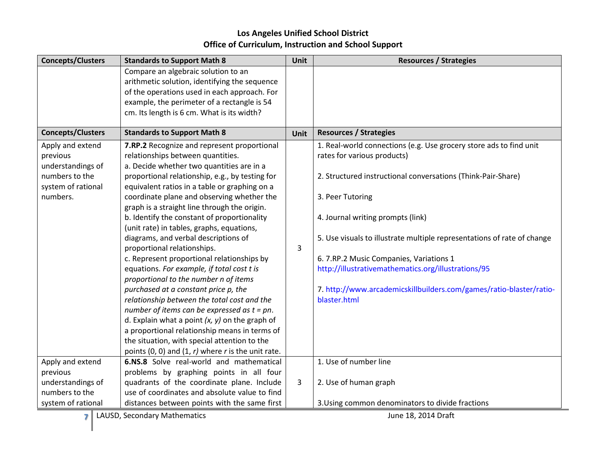| <b>Concepts/Clusters</b>       | <b>Standards to Support Math 8</b>                                                                 | Unit        | <b>Resources / Strategies</b>                                           |
|--------------------------------|----------------------------------------------------------------------------------------------------|-------------|-------------------------------------------------------------------------|
|                                | Compare an algebraic solution to an<br>arithmetic solution, identifying the sequence               |             |                                                                         |
|                                | of the operations used in each approach. For                                                       |             |                                                                         |
|                                | example, the perimeter of a rectangle is 54                                                        |             |                                                                         |
|                                | cm. Its length is 6 cm. What is its width?                                                         |             |                                                                         |
| <b>Concepts/Clusters</b>       | <b>Standards to Support Math 8</b>                                                                 | <b>Unit</b> | <b>Resources / Strategies</b>                                           |
| Apply and extend               | 7.RP.2 Recognize and represent proportional                                                        |             | 1. Real-world connections (e.g. Use grocery store ads to find unit      |
| previous                       | relationships between quantities.                                                                  |             | rates for various products)                                             |
| understandings of              | a. Decide whether two quantities are in a                                                          |             |                                                                         |
| numbers to the                 | proportional relationship, e.g., by testing for                                                    |             | 2. Structured instructional conversations (Think-Pair-Share)            |
| system of rational<br>numbers. | equivalent ratios in a table or graphing on a<br>coordinate plane and observing whether the        |             | 3. Peer Tutoring                                                        |
|                                | graph is a straight line through the origin.                                                       |             |                                                                         |
|                                | b. Identify the constant of proportionality                                                        |             | 4. Journal writing prompts (link)                                       |
|                                | (unit rate) in tables, graphs, equations,                                                          |             |                                                                         |
|                                | diagrams, and verbal descriptions of                                                               |             | 5. Use visuals to illustrate multiple representations of rate of change |
|                                | proportional relationships.                                                                        | 3           |                                                                         |
|                                | c. Represent proportional relationships by                                                         |             | 6. 7.RP.2 Music Companies, Variations 1                                 |
|                                | equations. For example, if total cost t is                                                         |             | http://illustrativemathematics.org/illustrations/95                     |
|                                | proportional to the number n of items                                                              |             |                                                                         |
|                                | purchased at a constant price p, the                                                               |             | 7. http://www.arcademicskillbuilders.com/games/ratio-blaster/ratio-     |
|                                | relationship between the total cost and the                                                        |             | blaster.html                                                            |
|                                | number of items can be expressed as $t = pn$ .                                                     |             |                                                                         |
|                                | d. Explain what a point $(x, y)$ on the graph of                                                   |             |                                                                         |
|                                | a proportional relationship means in terms of                                                      |             |                                                                         |
|                                | the situation, with special attention to the                                                       |             |                                                                         |
| Apply and extend               | points $(0, 0)$ and $(1, r)$ where r is the unit rate.<br>6.NS.8 Solve real-world and mathematical |             | 1. Use of number line                                                   |
| previous                       | problems by graphing points in all four                                                            |             |                                                                         |
| understandings of              | quadrants of the coordinate plane. Include                                                         | 3           | 2. Use of human graph                                                   |
| numbers to the                 | use of coordinates and absolute value to find                                                      |             |                                                                         |
| system of rational             | distances between points with the same first                                                       |             | 3. Using common denominators to divide fractions                        |
|                                |                                                                                                    |             |                                                                         |

**7** LAUSD, Secondary Mathematics **June 18, 2014 Draft**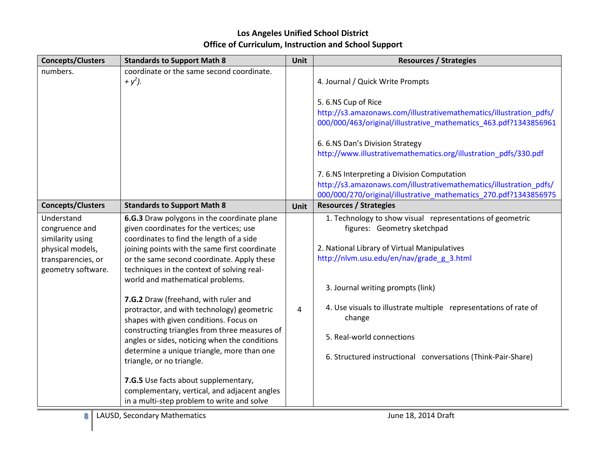| <b>Concepts/Clusters</b>                                              | <b>Standards to Support Math 8</b>            | Unit | <b>Resources / Strategies</b>                                      |
|-----------------------------------------------------------------------|-----------------------------------------------|------|--------------------------------------------------------------------|
| numbers.                                                              | coordinate or the same second coordinate.     |      |                                                                    |
|                                                                       | + $y^2$ ).                                    |      | 4. Journal / Quick Write Prompts                                   |
|                                                                       |                                               |      |                                                                    |
|                                                                       |                                               |      | 5.6.NS Cup of Rice                                                 |
|                                                                       |                                               |      | http://s3.amazonaws.com/illustrativemathematics/illustration_pdfs/ |
|                                                                       |                                               |      | 000/000/463/original/illustrative_mathematics_463.pdf?1343856961   |
|                                                                       |                                               |      | 6. 6.NS Dan's Division Strategy                                    |
|                                                                       |                                               |      | http://www.illustrativemathematics.org/illustration_pdfs/330.pdf   |
|                                                                       |                                               |      | 7.6.NS Interpreting a Division Computation                         |
|                                                                       |                                               |      | http://s3.amazonaws.com/illustrativemathematics/illustration_pdfs/ |
|                                                                       |                                               |      | 000/000/270/original/illustrative_mathematics_270.pdf?1343856975   |
| <b>Concepts/Clusters</b>                                              | <b>Standards to Support Math 8</b>            | Unit | <b>Resources / Strategies</b>                                      |
| Understand                                                            | 6.G.3 Draw polygons in the coordinate plane   |      | 1. Technology to show visual representations of geometric          |
| congruence and                                                        | given coordinates for the vertices; use       |      | figures: Geometry sketchpad                                        |
| similarity using                                                      | coordinates to find the length of a side      |      |                                                                    |
| physical models,                                                      | joining points with the same first coordinate |      | 2. National Library of Virtual Manipulatives                       |
| transparencies, or                                                    | or the same second coordinate. Apply these    |      | http://nlvm.usu.edu/en/nav/grade_g_3.html                          |
| geometry software.                                                    | techniques in the context of solving real-    |      |                                                                    |
|                                                                       | world and mathematical problems.              |      |                                                                    |
|                                                                       |                                               |      | 3. Journal writing prompts (link)                                  |
|                                                                       | 7.G.2 Draw (freehand, with ruler and          |      | 4. Use visuals to illustrate multiple representations of rate of   |
|                                                                       | protractor, and with technology) geometric    | 4    |                                                                    |
|                                                                       | shapes with given conditions. Focus on        |      | change                                                             |
|                                                                       | constructing triangles from three measures of |      | 5. Real-world connections                                          |
|                                                                       | angles or sides, noticing when the conditions |      |                                                                    |
|                                                                       | determine a unique triangle, more than one    |      | 6. Structured instructional conversations (Think-Pair-Share)       |
|                                                                       | triangle, or no triangle.                     |      |                                                                    |
|                                                                       | 7.G.5 Use facts about supplementary,          |      |                                                                    |
|                                                                       | complementary, vertical, and adjacent angles  |      |                                                                    |
|                                                                       | in a multi-step problem to write and solve    |      |                                                                    |
| LAUSD, Secondary Mathematics<br>June 18, 2014 Draft<br>8 <sup>1</sup> |                                               |      |                                                                    |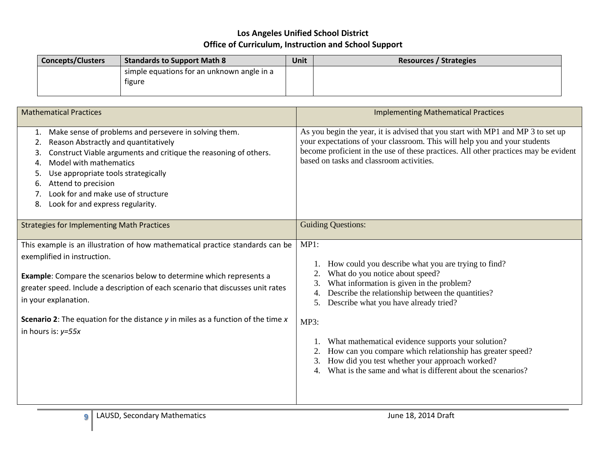| <b>Concepts/Clusters</b> | <b>Standards to Support Math 8</b>                   | Unit | <b>Resources / Strategies</b> |
|--------------------------|------------------------------------------------------|------|-------------------------------|
|                          | simple equations for an unknown angle in a<br>tigure |      |                               |
|                          |                                                      |      |                               |

| <b>Mathematical Practices</b>                                                                                                                                                                                                                                                                                                                                                                                                 | <b>Implementing Mathematical Practices</b>                                                                                                                                                                                                                                                                                                                                                                                                                                                             |
|-------------------------------------------------------------------------------------------------------------------------------------------------------------------------------------------------------------------------------------------------------------------------------------------------------------------------------------------------------------------------------------------------------------------------------|--------------------------------------------------------------------------------------------------------------------------------------------------------------------------------------------------------------------------------------------------------------------------------------------------------------------------------------------------------------------------------------------------------------------------------------------------------------------------------------------------------|
| Make sense of problems and persevere in solving them.<br>1.<br>Reason Abstractly and quantitatively<br>2<br>Construct Viable arguments and critique the reasoning of others.<br>3.<br>Model with mathematics<br>4.<br>Use appropriate tools strategically<br>5.<br>Attend to precision<br>6.<br>Look for and make use of structure<br>Look for and express regularity.<br>8.                                                  | As you begin the year, it is advised that you start with MP1 and MP 3 to set up<br>your expectations of your classroom. This will help you and your students<br>become proficient in the use of these practices. All other practices may be evident<br>based on tasks and classroom activities.                                                                                                                                                                                                        |
| <b>Strategies for Implementing Math Practices</b>                                                                                                                                                                                                                                                                                                                                                                             | <b>Guiding Questions:</b>                                                                                                                                                                                                                                                                                                                                                                                                                                                                              |
| This example is an illustration of how mathematical practice standards can be<br>exemplified in instruction.<br><b>Example:</b> Compare the scenarios below to determine which represents a<br>greater speed. Include a description of each scenario that discusses unit rates<br>in your explanation.<br><b>Scenario 2:</b> The equation for the distance $y$ in miles as a function of the time $x$<br>in hours is: $y=55x$ | MP1:<br>How could you describe what you are trying to find?<br>What do you notice about speed?<br>What information is given in the problem?<br>Describe the relationship between the quantities?<br>4.<br>Describe what you have already tried?<br>5.<br>MP3:<br>What mathematical evidence supports your solution?<br>How can you compare which relationship has greater speed?<br>How did you test whether your approach worked?<br>What is the same and what is different about the scenarios?<br>4 |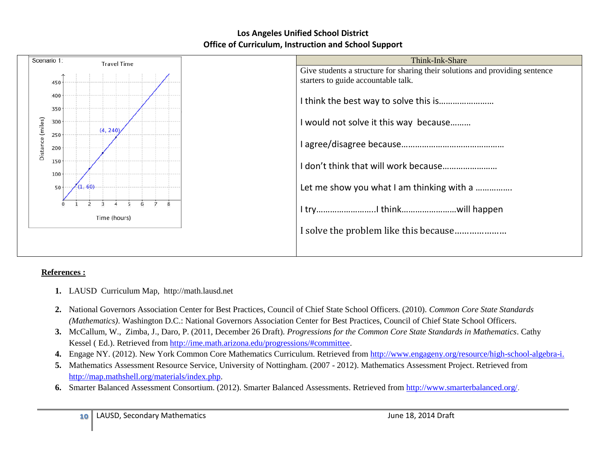

### **References :**

- **1.** LAUSD Curriculum Map, http://math.lausd.net
- **2.** National Governors Association Center for Best Practices, Council of Chief State School Officers. (2010). *Common Core State Standards (Mathematics)*. Washington D.C.: National Governors Association Center for Best Practices, Council of Chief State School Officers.
- **3.** McCallum, W., Zimba, J., Daro, P. (2011, December 26 Draft). *Progressions for the Common Core State Standards in Mathematics*. Cathy Kessel ( Ed.). Retrieved from [http://ime.math.arizona.edu/progressions/#committee.](http://ime.math.arizona.edu/progressions/#committee)
- **4.** Engage NY. (2012). New York Common Core Mathematics Curriculum. Retrieved from [http://www.engageny.org/resource/high-school-algebra-i.](http://www.engageny.org/resource/high-school-algebra-i)
- **5.** Mathematics Assessment Resource Service, University of Nottingham. (2007 2012). Mathematics Assessment Project. Retrieved from [http://map.mathshell.org/materials/index.php.](http://map.mathshell.org/materials/index.php)
- **6.** Smarter Balanced Assessment Consortium. (2012). Smarter Balanced Assessments. Retrieved from [http://www.smarterbalanced.org/.](http://www.smarterbalanced.org/)